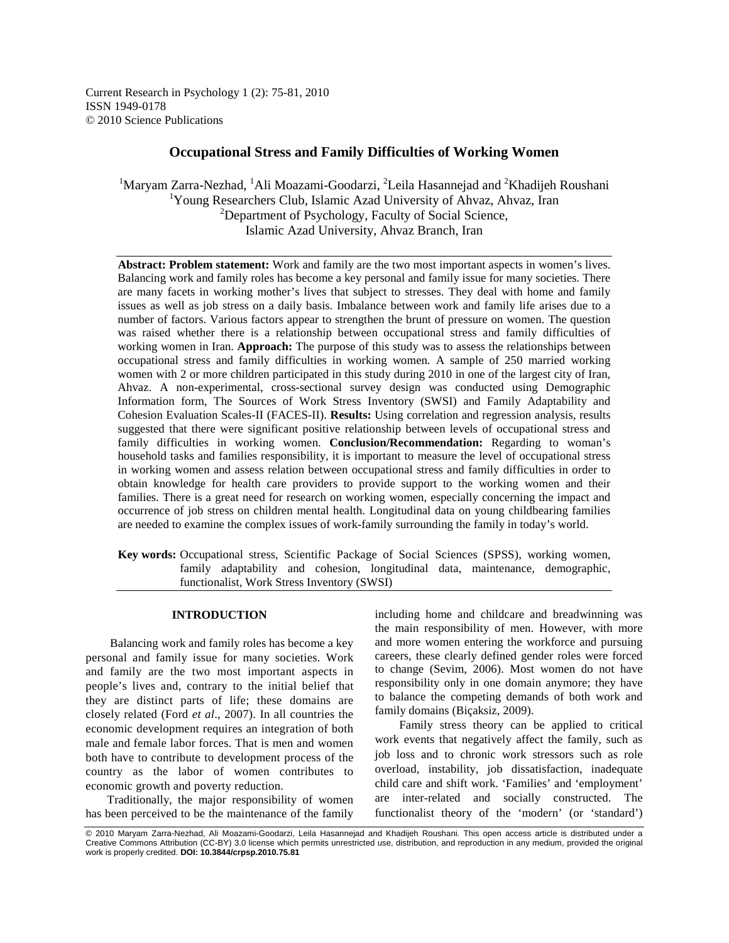Current Research in Psychology 1 (2): 75-81, 2010 ISSN 1949-0178 © 2010 Science Publications

# **Occupational Stress and Family Difficulties of Working Women**

<sup>1</sup>Maryam Zarra-Nezhad, <sup>1</sup>Ali Moazami-Goodarzi, <sup>2</sup>Leila Hasannejad and <sup>2</sup>Khadijeh Roushani <sup>1</sup>Young Researchers Club, Islamic Azad University of Ahvaz, Ahvaz, Iran  $2$ Department of Psychology, Faculty of Social Science, Islamic Azad University, Ahvaz Branch, Iran

**Abstract: Problem statement:** Work and family are the two most important aspects in women's lives. Balancing work and family roles has become a key personal and family issue for many societies. There are many facets in working mother's lives that subject to stresses. They deal with home and family issues as well as job stress on a daily basis. Imbalance between work and family life arises due to a number of factors. Various factors appear to strengthen the brunt of pressure on women. The question was raised whether there is a relationship between occupational stress and family difficulties of working women in Iran. **Approach:** The purpose of this study was to assess the relationships between occupational stress and family difficulties in working women. A sample of 250 married working women with 2 or more children participated in this study during 2010 in one of the largest city of Iran, Ahvaz. A non-experimental, cross-sectional survey design was conducted using Demographic Information form, The Sources of Work Stress Inventory (SWSI) and Family Adaptability and Cohesion Evaluation Scales-II (FACES-II). **Results:** Using correlation and regression analysis, results suggested that there were significant positive relationship between levels of occupational stress and family difficulties in working women. **Conclusion/Recommendation:** Regarding to woman's household tasks and families responsibility, it is important to measure the level of occupational stress in working women and assess relation between occupational stress and family difficulties in order to obtain knowledge for health care providers to provide support to the working women and their families. There is a great need for research on working women, especially concerning the impact and occurrence of job stress on children mental health. Longitudinal data on young childbearing families are needed to examine the complex issues of work-family surrounding the family in today's world.

**Key words:** Occupational stress, Scientific Package of Social Sciences (SPSS), working women, family adaptability and cohesion, longitudinal data, maintenance, demographic, functionalist, Work Stress Inventory (SWSI)

## **INTRODUCTION**

 Balancing work and family roles has become a key personal and family issue for many societies. Work and family are the two most important aspects in people's lives and, contrary to the initial belief that they are distinct parts of life; these domains are closely related (Ford *et al*., 2007). In all countries the economic development requires an integration of both male and female labor forces. That is men and women both have to contribute to development process of the country as the labor of women contributes to economic growth and poverty reduction.

 Traditionally, the major responsibility of women has been perceived to be the maintenance of the family

including home and childcare and breadwinning was the main responsibility of men. However, with more and more women entering the workforce and pursuing careers, these clearly defined gender roles were forced to change (Sevim, 2006). Most women do not have responsibility only in one domain anymore; they have to balance the competing demands of both work and family domains (Biçaksiz, 2009).

 Family stress theory can be applied to critical work events that negatively affect the family, such as job loss and to chronic work stressors such as role overload, instability, job dissatisfaction, inadequate child care and shift work. 'Families' and 'employment' are inter-related and socially constructed. The functionalist theory of the 'modern' (or 'standard')

© 2010 Maryam Zarra-Nezhad, Ali Moazami-Goodarzi, Leila Hasannejad and Khadijeh Roushani. This open access article is distributed under a Creative Commons Attribution (CC-BY) 3.0 license which permits unrestricted use, distribution, and reproduction in any medium, provided the original work is properly credited. **DOI: 10.3844/crpsp.2010.75.81**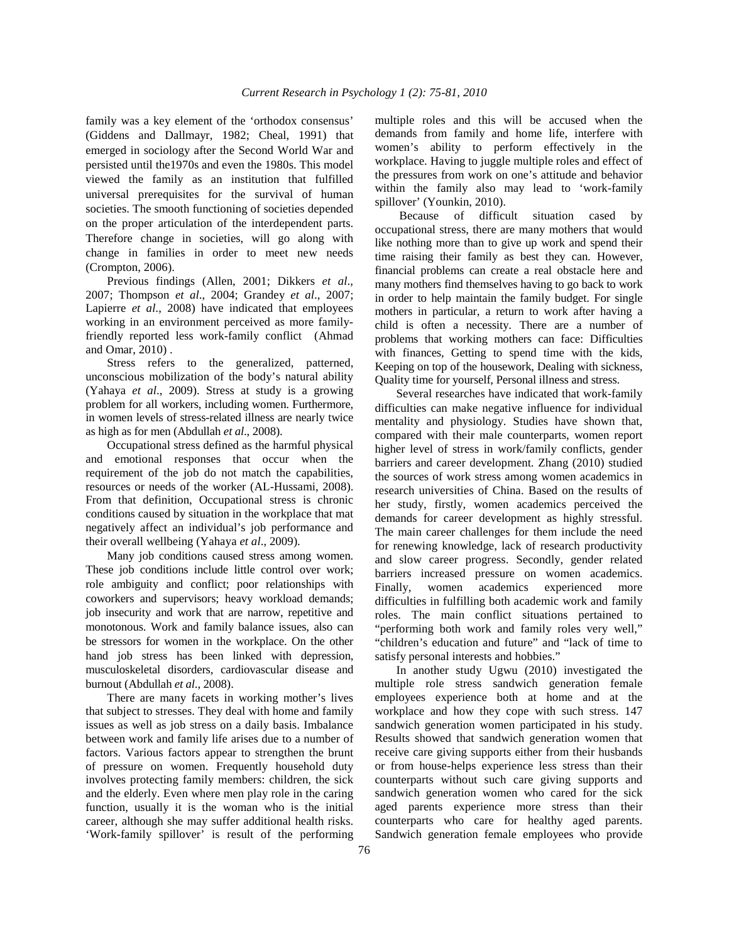family was a key element of the 'orthodox consensus' (Giddens and Dallmayr, 1982; Cheal, 1991) that emerged in sociology after the Second World War and persisted until the1970s and even the 1980s. This model viewed the family as an institution that fulfilled universal prerequisites for the survival of human societies. The smooth functioning of societies depended on the proper articulation of the interdependent parts. Therefore change in societies, will go along with change in families in order to meet new needs (Crompton, 2006).

Previous findings (Allen, 2001; Dikkers *et al*., 2007; Thompson *et al*., 2004; Grandey *et al*., 2007; Lapierre *et al*., 2008) have indicated that employees working in an environment perceived as more familyfriendly reported less work-family conflict (Ahmad and Omar, 2010) .

 Stress refers to the generalized, patterned, unconscious mobilization of the body's natural ability (Yahaya *et al*., 2009). Stress at study is a growing problem for all workers, including women. Furthermore, in women levels of stress-related illness are nearly twice as high as for men (Abdullah *et al*., 2008).

Occupational stress defined as the harmful physical and emotional responses that occur when the requirement of the job do not match the capabilities, resources or needs of the worker (AL-Hussami, 2008). From that definition, Occupational stress is chronic conditions caused by situation in the workplace that mat negatively affect an individual's job performance and their overall wellbeing (Yahaya *et al*., 2009).

Many job conditions caused stress among women. These job conditions include little control over work; role ambiguity and conflict; poor relationships with coworkers and supervisors; heavy workload demands; job insecurity and work that are narrow, repetitive and monotonous. Work and family balance issues, also can be stressors for women in the workplace. On the other hand job stress has been linked with depression, musculoskeletal disorders, cardiovascular disease and burnout (Abdullah *et al*., 2008).

 There are many facets in working mother's lives that subject to stresses. They deal with home and family issues as well as job stress on a daily basis. Imbalance between work and family life arises due to a number of factors. Various factors appear to strengthen the brunt of pressure on women. Frequently household duty involves protecting family members: children, the sick and the elderly. Even where men play role in the caring function, usually it is the woman who is the initial career, although she may suffer additional health risks. 'Work-family spillover' is result of the performing

multiple roles and this will be accused when the demands from family and home life, interfere with women's ability to perform effectively in the workplace. Having to juggle multiple roles and effect of the pressures from work on one's attitude and behavior within the family also may lead to 'work-family spillover' (Younkin, 2010).

 Because of difficult situation cased by occupational stress, there are many mothers that would like nothing more than to give up work and spend their time raising their family as best they can. However, financial problems can create a real obstacle here and many mothers find themselves having to go back to work in order to help maintain the family budget. For single mothers in particular, a return to work after having a child is often a necessity. There are a number of problems that working mothers can face: Difficulties with finances, Getting to spend time with the kids, Keeping on top of the housework, Dealing with sickness, Quality time for yourself, Personal illness and stress.

 Several researches have indicated that work-family difficulties can make negative influence for individual mentality and physiology. Studies have shown that, compared with their male counterparts, women report higher level of stress in work/family conflicts, gender barriers and career development. Zhang (2010) studied the sources of work stress among women academics in research universities of China. Based on the results of her study, firstly, women academics perceived the demands for career development as highly stressful. The main career challenges for them include the need for renewing knowledge, lack of research productivity and slow career progress. Secondly, gender related barriers increased pressure on women academics. Finally, women academics experienced more difficulties in fulfilling both academic work and family roles. The main conflict situations pertained to "performing both work and family roles very well," "children's education and future" and "lack of time to satisfy personal interests and hobbies."

 In another study Ugwu (2010) investigated the multiple role stress sandwich generation female employees experience both at home and at the workplace and how they cope with such stress. 147 sandwich generation women participated in his study. Results showed that sandwich generation women that receive care giving supports either from their husbands or from house-helps experience less stress than their counterparts without such care giving supports and sandwich generation women who cared for the sick aged parents experience more stress than their counterparts who care for healthy aged parents. Sandwich generation female employees who provide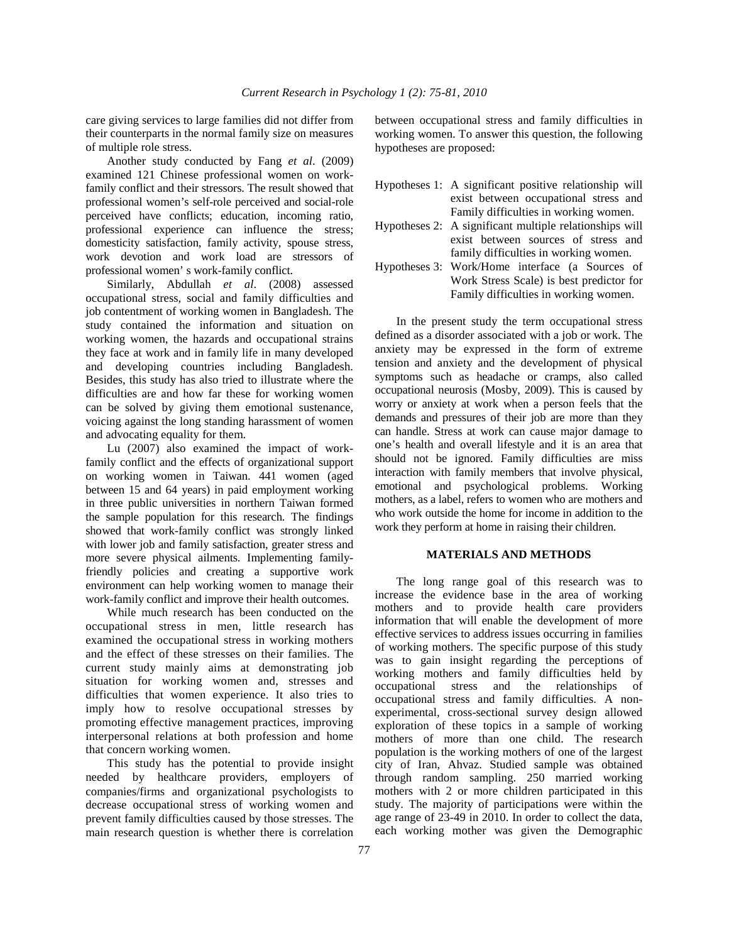care giving services to large families did not differ from their counterparts in the normal family size on measures of multiple role stress.

 Another study conducted by Fang *et al*. (2009) examined 121 Chinese professional women on workfamily conflict and their stressors. The result showed that professional women's self-role perceived and social-role perceived have conflicts; education, incoming ratio, professional experience can influence the stress; domesticity satisfaction, family activity, spouse stress, work devotion and work load are stressors of professional women' s work-family conflict.

 Similarly, Abdullah *et al*. (2008) assessed occupational stress, social and family difficulties and job contentment of working women in Bangladesh. The study contained the information and situation on working women, the hazards and occupational strains they face at work and in family life in many developed and developing countries including Bangladesh. Besides, this study has also tried to illustrate where the difficulties are and how far these for working women can be solved by giving them emotional sustenance, voicing against the long standing harassment of women and advocating equality for them.

 Lu (2007) also examined the impact of workfamily conflict and the effects of organizational support on working women in Taiwan. 441 women (aged between 15 and 64 years) in paid employment working in three public universities in northern Taiwan formed the sample population for this research. The findings showed that work-family conflict was strongly linked with lower job and family satisfaction, greater stress and more severe physical ailments. Implementing familyfriendly policies and creating a supportive work environment can help working women to manage their work-family conflict and improve their health outcomes.

 While much research has been conducted on the occupational stress in men, little research has examined the occupational stress in working mothers and the effect of these stresses on their families. The current study mainly aims at demonstrating job situation for working women and, stresses and difficulties that women experience. It also tries to imply how to resolve occupational stresses by promoting effective management practices, improving interpersonal relations at both profession and home that concern working women.

 This study has the potential to provide insight needed by healthcare providers, employers of companies/firms and organizational psychologists to decrease occupational stress of working women and prevent family difficulties caused by those stresses. The main research question is whether there is correlation between occupational stress and family difficulties in working women. To answer this question, the following hypotheses are proposed:

- Hypotheses 1: A significant positive relationship will exist between occupational stress and Family difficulties in working women.
- Hypotheses 2: A significant multiple relationships will exist between sources of stress and family difficulties in working women.
- Hypotheses 3: Work/Home interface (a Sources of Work Stress Scale) is best predictor for Family difficulties in working women.

 In the present study the term occupational stress defined as a disorder associated with a job or work. The anxiety may be expressed in the form of extreme tension and anxiety and the development of physical symptoms such as headache or cramps, also called occupational neurosis (Mosby, 2009). This is caused by worry or anxiety at work when a person feels that the demands and pressures of their job are more than they can handle. Stress at work can cause major damage to one's health and overall lifestyle and it is an area that should not be ignored. Family difficulties are miss interaction with family members that involve physical, emotional and psychological problems. Working mothers, as a label, refers to women who are mothers and who work outside the home for income in addition to the work they perform at home in raising their children.

#### **MATERIALS AND METHODS**

 The long range goal of this research was to increase the evidence base in the area of working mothers and to provide health care providers information that will enable the development of more effective services to address issues occurring in families of working mothers. The specific purpose of this study was to gain insight regarding the perceptions of working mothers and family difficulties held by occupational stress and the relationships of occupational stress and family difficulties. A nonexperimental, cross-sectional survey design allowed exploration of these topics in a sample of working mothers of more than one child. The research population is the working mothers of one of the largest city of Iran, Ahvaz. Studied sample was obtained through random sampling. 250 married working mothers with 2 or more children participated in this study. The majority of participations were within the age range of 23-49 in 2010. In order to collect the data, each working mother was given the Demographic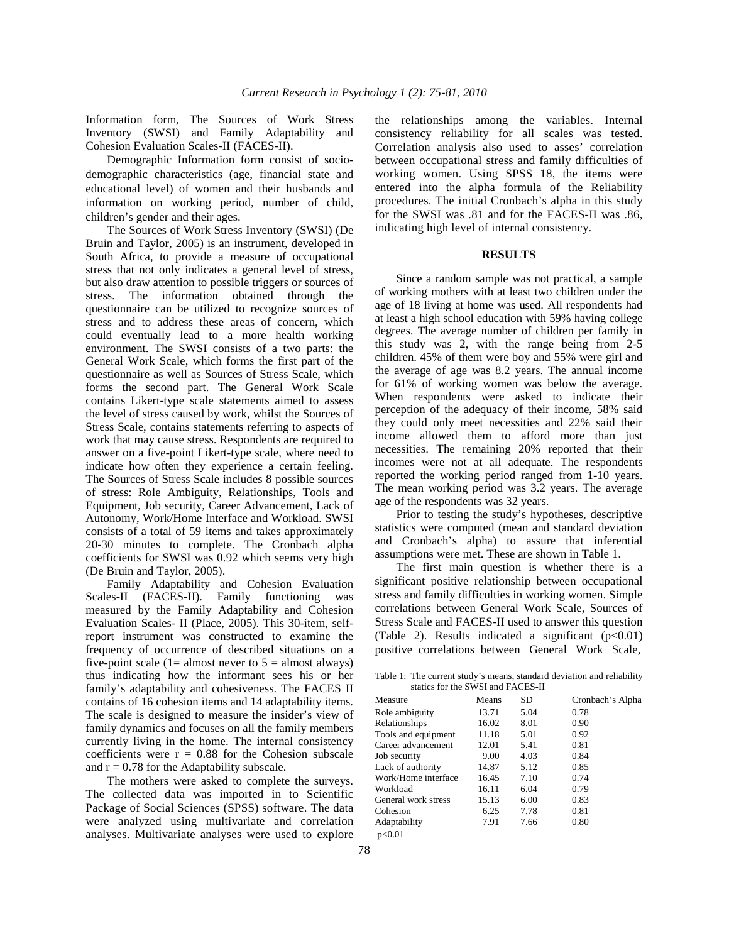Information form, The Sources of Work Stress Inventory (SWSI) and Family Adaptability and Cohesion Evaluation Scales-II (FACES-II).

 Demographic Information form consist of sociodemographic characteristics (age, financial state and educational level) of women and their husbands and information on working period, number of child, children's gender and their ages.

 The Sources of Work Stress Inventory (SWSI) (De Bruin and Taylor, 2005) is an instrument, developed in South Africa, to provide a measure of occupational stress that not only indicates a general level of stress, but also draw attention to possible triggers or sources of stress. The information obtained through the questionnaire can be utilized to recognize sources of stress and to address these areas of concern, which could eventually lead to a more health working environment. The SWSI consists of a two parts: the General Work Scale, which forms the first part of the questionnaire as well as Sources of Stress Scale, which forms the second part. The General Work Scale contains Likert-type scale statements aimed to assess the level of stress caused by work, whilst the Sources of Stress Scale, contains statements referring to aspects of work that may cause stress. Respondents are required to answer on a five-point Likert-type scale, where need to indicate how often they experience a certain feeling. The Sources of Stress Scale includes 8 possible sources of stress: Role Ambiguity, Relationships, Tools and Equipment, Job security, Career Advancement, Lack of Autonomy, Work/Home Interface and Workload. SWSI consists of a total of 59 items and takes approximately 20-30 minutes to complete. The Cronbach alpha coefficients for SWSI was 0.92 which seems very high (De Bruin and Taylor, 2005).

 Family Adaptability and Cohesion Evaluation Scales-II (FACES-II). Family functioning was measured by the Family Adaptability and Cohesion Evaluation Scales- II (Place, 2005). This 30-item, selfreport instrument was constructed to examine the frequency of occurrence of described situations on a five-point scale (1= almost never to  $5 =$  almost always) thus indicating how the informant sees his or her family's adaptability and cohesiveness. The FACES II contains of 16 cohesion items and 14 adaptability items. The scale is designed to measure the insider's view of family dynamics and focuses on all the family members currently living in the home. The internal consistency coefficients were  $r = 0.88$  for the Cohesion subscale and  $r = 0.78$  for the Adaptability subscale.

 The mothers were asked to complete the surveys. The collected data was imported in to Scientific Package of Social Sciences (SPSS) software. The data were analyzed using multivariate and correlation analyses. Multivariate analyses were used to explore

the relationships among the variables. Internal consistency reliability for all scales was tested. Correlation analysis also used to asses' correlation between occupational stress and family difficulties of working women. Using SPSS 18, the items were entered into the alpha formula of the Reliability procedures. The initial Cronbach's alpha in this study for the SWSI was .81 and for the FACES-II was .86, indicating high level of internal consistency.

## **RESULTS**

 Since a random sample was not practical, a sample of working mothers with at least two children under the age of 18 living at home was used. All respondents had at least a high school education with 59% having college degrees. The average number of children per family in this study was 2, with the range being from 2-5 children. 45% of them were boy and 55% were girl and the average of age was 8.2 years. The annual income for 61% of working women was below the average. When respondents were asked to indicate their perception of the adequacy of their income, 58% said they could only meet necessities and 22% said their income allowed them to afford more than just necessities. The remaining 20% reported that their incomes were not at all adequate. The respondents reported the working period ranged from 1-10 years. The mean working period was 3.2 years. The average age of the respondents was 32 years.

 Prior to testing the study's hypotheses, descriptive statistics were computed (mean and standard deviation and Cronbach's alpha) to assure that inferential assumptions were met. These are shown in Table 1.

 The first main question is whether there is a significant positive relationship between occupational stress and family difficulties in working women. Simple correlations between General Work Scale, Sources of Stress Scale and FACES-II used to answer this question (Table 2). Results indicated a significant  $(p<0.01)$ positive correlations between General Work Scale,

Table 1: The current study's means, standard deviation and reliability statics for the SWSI and FACES-II

| Measure             | Means | <b>SD</b> | Cronbach's Alpha |  |
|---------------------|-------|-----------|------------------|--|
| Role ambiguity      | 13.71 | 5.04      | 0.78             |  |
| Relationships       | 16.02 | 8.01      | 0.90             |  |
| Tools and equipment | 11.18 | 5.01      | 0.92             |  |
| Career advancement  | 12.01 | 5.41      | 0.81             |  |
| Job security        | 9.00  | 4.03      | 0.84             |  |
| Lack of authority   | 14.87 | 5.12      | 0.85             |  |
| Work/Home interface | 16.45 | 7.10      | 0.74             |  |
| Workload            | 16.11 | 6.04      | 0.79             |  |
| General work stress | 15.13 | 6.00      | 0.83             |  |
| Cohesion            | 6.25  | 7.78      | 0.81             |  |
| Adaptability        | 7.91  | 7.66      | 0.80             |  |

p<0.01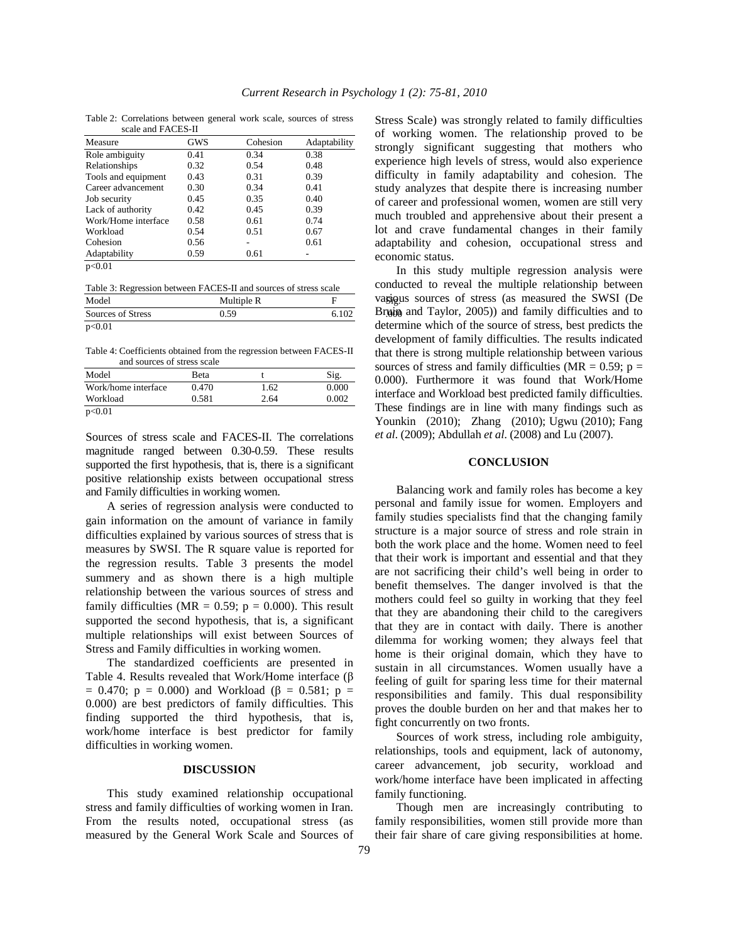Table 2: Correlations between general work scale, sources of stress scale and FACES-II

| Measure             | GWS  | Cohesion | Adaptability |
|---------------------|------|----------|--------------|
| Role ambiguity      | 0.41 | 0.34     | 0.38         |
| Relationships       | 0.32 | 0.54     | 0.48         |
| Tools and equipment | 0.43 | 0.31     | 0.39         |
| Career advancement  | 0.30 | 0.34     | 0.41         |
| Job security        | 0.45 | 0.35     | 0.40         |
| Lack of authority   | 0.42 | 0.45     | 0.39         |
| Work/Home interface | 0.58 | 0.61     | 0.74         |
| Workload            | 0.54 | 0.51     | 0.67         |
| Cohesion            | 0.56 |          | 0.61         |
| Adaptability        | 0.59 | 0.61     |              |
| p<0.01              |      |          |              |

Table 3: Regression between FACES-II and sources of stress scale

| Model             | Multiple R |       | vaşıou       |
|-------------------|------------|-------|--------------|
| Sources of Stress | 0.59       | 6.102 | <b>Brain</b> |
| p<0.01            |            |       | detern       |

| Table 4: Coefficients obtained from the regression between FACES-II |                             |  |  |
|---------------------------------------------------------------------|-----------------------------|--|--|
|                                                                     | and sources of stress scale |  |  |

| Model               | <b>B</b> eta |      | Sig.  |
|---------------------|--------------|------|-------|
| Work/home interface | 0.470        | 1.62 | 0.000 |
| Workload            | 0.581        | 2.64 | 0.002 |
| p<0.01              |              |      |       |

Sources of stress scale and FACES-II. The correlations magnitude ranged between 0.30-0.59. These results supported the first hypothesis, that is, there is a significant positive relationship exists between occupational stress and Family difficulties in working women.

 A series of regression analysis were conducted to gain information on the amount of variance in family difficulties explained by various sources of stress that is measures by SWSI. The R square value is reported for the regression results. Table 3 presents the model summery and as shown there is a high multiple relationship between the various sources of stress and family difficulties (MR =  $0.59$ ; p =  $0.000$ ). This result supported the second hypothesis, that is, a significant multiple relationships will exist between Sources of Stress and Family difficulties in working women.

 The standardized coefficients are presented in Table 4. Results revealed that Work/Home interface (β  $= 0.470$ ; p = 0.000) and Workload (β = 0.581; p = 0.000) are best predictors of family difficulties. This finding supported the third hypothesis, that is, work/home interface is best predictor for family difficulties in working women.

#### **DISCUSSION**

 This study examined relationship occupational stress and family difficulties of working women in Iran. From the results noted, occupational stress (as measured by the General Work Scale and Sources of Stress Scale) was strongly related to family difficulties of working women. The relationship proved to be strongly significant suggesting that mothers who experience high levels of stress, would also experience difficulty in family adaptability and cohesion. The study analyzes that despite there is increasing number of career and professional women, women are still very much troubled and apprehensive about their present a lot and crave fundamental changes in their family adaptability and cohesion, occupational stress and economic status.

 In this study multiple regression analysis were conducted to reveal the multiple relationship between various sources of stress (as measured the SWSI (De Bruin and Taylor, 2005)) and family difficulties and to determine which of the source of stress, best predicts the development of family difficulties. The results indicated that there is strong multiple relationship between various sources of stress and family difficulties ( $MR = 0.59$ ; p = 0.000). Furthermore it was found that Work/Home interface and Workload best predicted family difficulties. These findings are in line with many findings such as Younkin (2010); Zhang (2010); Ugwu (2010); Fang *et al*. (2009); Abdullah *et al*. (2008) and Lu (2007).

#### **CONCLUSION**

 Balancing work and family roles has become a key personal and family issue for women. Employers and family studies specialists find that the changing family structure is a major source of stress and role strain in both the work place and the home. Women need to feel that their work is important and essential and that they are not sacrificing their child's well being in order to benefit themselves. The danger involved is that the mothers could feel so guilty in working that they feel that they are abandoning their child to the caregivers that they are in contact with daily. There is another dilemma for working women; they always feel that home is their original domain, which they have to sustain in all circumstances. Women usually have a feeling of guilt for sparing less time for their maternal responsibilities and family. This dual responsibility proves the double burden on her and that makes her to fight concurrently on two fronts.

 Sources of work stress, including role ambiguity, relationships, tools and equipment, lack of autonomy, career advancement, job security, workload and work/home interface have been implicated in affecting family functioning.

 Though men are increasingly contributing to family responsibilities, women still provide more than their fair share of care giving responsibilities at home.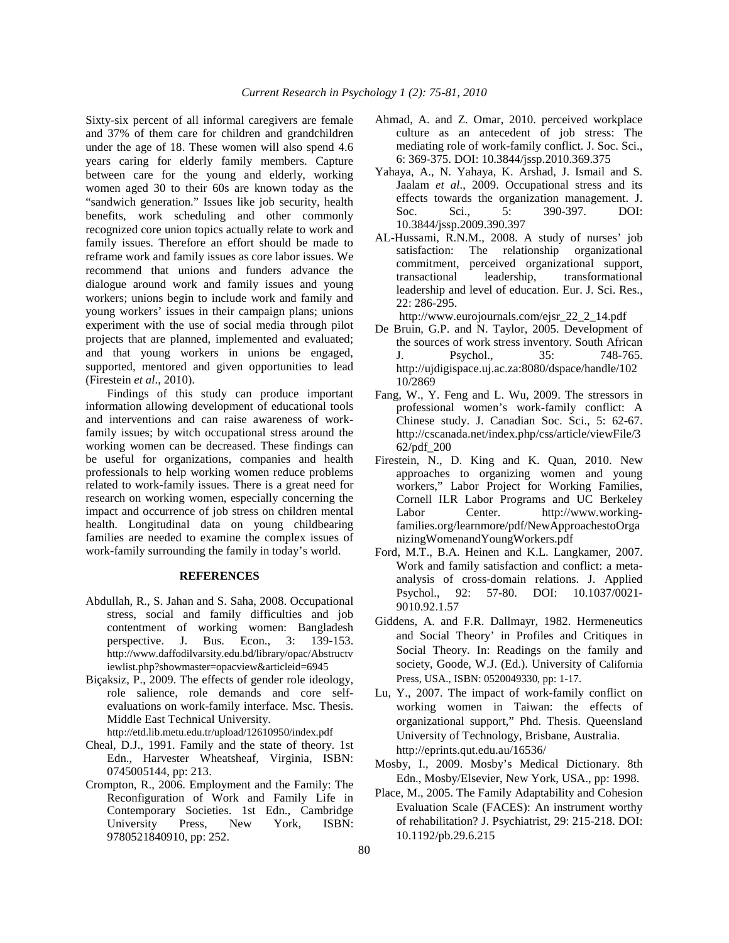Sixty-six percent of all informal caregivers are female and 37% of them care for children and grandchildren under the age of 18. These women will also spend 4.6 years caring for elderly family members. Capture between care for the young and elderly, working women aged 30 to their 60s are known today as the "sandwich generation." Issues like job security, health benefits, work scheduling and other commonly recognized core union topics actually relate to work and family issues. Therefore an effort should be made to reframe work and family issues as core labor issues. We recommend that unions and funders advance the dialogue around work and family issues and young workers; unions begin to include work and family and young workers' issues in their campaign plans; unions experiment with the use of social media through pilot projects that are planned, implemented and evaluated; and that young workers in unions be engaged, supported, mentored and given opportunities to lead (Firestein *et al*., 2010).

 Findings of this study can produce important information allowing development of educational tools and interventions and can raise awareness of workfamily issues; by witch occupational stress around the working women can be decreased. These findings can be useful for organizations, companies and health professionals to help working women reduce problems related to work-family issues. There is a great need for research on working women, especially concerning the impact and occurrence of job stress on children mental health. Longitudinal data on young childbearing families are needed to examine the complex issues of work-family surrounding the family in today's world.

# **REFERENCES**

- Abdullah, R., S. Jahan and S. Saha, 2008. Occupational stress, social and family difficulties and job contentment of working women: Bangladesh perspective. J. Bus. Econ., 3: 139-153. http://www.daffodilvarsity.edu.bd/library/opac/Abstructv iewlist.php?showmaster=opacview&articleid=6945
- Biçaksiz, P., 2009. The effects of gender role ideology, role salience, role demands and core selfevaluations on work-family interface. Msc. Thesis. Middle East Technical University.

http://etd.lib.metu.edu.tr/upload/12610950/index.pdf

- Cheal, D.J., 1991. Family and the state of theory. 1st Edn., Harvester Wheatsheaf, Virginia, ISBN: 0745005144, pp: 213.
- Crompton, R., 2006. Employment and the Family: The Reconfiguration of Work and Family Life in Contemporary Societies. 1st Edn., Cambridge University Press, New York, ISBN: 9780521840910, pp: 252.
- Ahmad, A. and Z. Omar, 2010. perceived workplace culture as an antecedent of job stress: The mediating role of work-family conflict. J. Soc. Sci., 6: 369-375. DOI: 10.3844/jssp.2010.369.375
- Yahaya, A., N. Yahaya, K. Arshad, J. Ismail and S. Jaalam *et al*., 2009. Occupational stress and its effects towards the organization management. J. Soc. Sci., 5: 390-397. DOI: 10.3844/jssp.2009.390.397
- AL-Hussami, R.N.M., 2008. A study of nurses' job satisfaction: The relationship organizational commitment, perceived organizational support, transactional leadership, transformational leadership and level of education. Eur. J. Sci. Res., 22: 286-295.

http://www.eurojournals.com/ejsr\_22\_2\_14.pdf

- De Bruin, G.P. and N. Taylor, 2005. Development of the sources of work stress inventory. South African J. Psychol., 35: 748-765. http://ujdigispace.uj.ac.za:8080/dspace/handle/102 10/2869
- Fang, W., Y. Feng and L. Wu, 2009. The stressors in professional women's work-family conflict: A Chinese study. J. Canadian Soc. Sci., 5: 62-67. http://cscanada.net/index.php/css/article/viewFile/3 62/pdf\_200
- Firestein, N., D. King and K. Quan, 2010. New approaches to organizing women and young workers," Labor Project for Working Families, Cornell ILR Labor Programs and UC Berkeley Labor Center. http://www.workingfamilies.org/learnmore/pdf/NewApproachestoOrga nizingWomenandYoungWorkers.pdf
- Ford, M.T., B.A. Heinen and K.L. Langkamer, 2007. Work and family satisfaction and conflict: a metaanalysis of cross-domain relations. J. Applied Psychol., 92: 57-80. DOI: 10.1037/0021- 9010.92.1.57
- Giddens, A. and F.R. Dallmayr, 1982. Hermeneutics and Social Theory' in Profiles and Critiques in Social Theory. In: Readings on the family and society, Goode, W.J. (Ed.). University of California Press, USA., ISBN: 0520049330, pp: 1-17.
- Lu, Y., 2007. The impact of work-family conflict on working women in Taiwan: the effects of organizational support," Phd. Thesis. Queensland University of Technology, Brisbane, Australia. http://eprints.qut.edu.au/16536/
- Mosby, I., 2009. Mosby's Medical Dictionary. 8th Edn., Mosby/Elsevier, New York, USA., pp: 1998.
- Place, M., 2005. The Family Adaptability and Cohesion Evaluation Scale (FACES): An instrument worthy of rehabilitation? J. Psychiatrist, 29: 215-218. DOI: 10.1192/pb.29.6.215